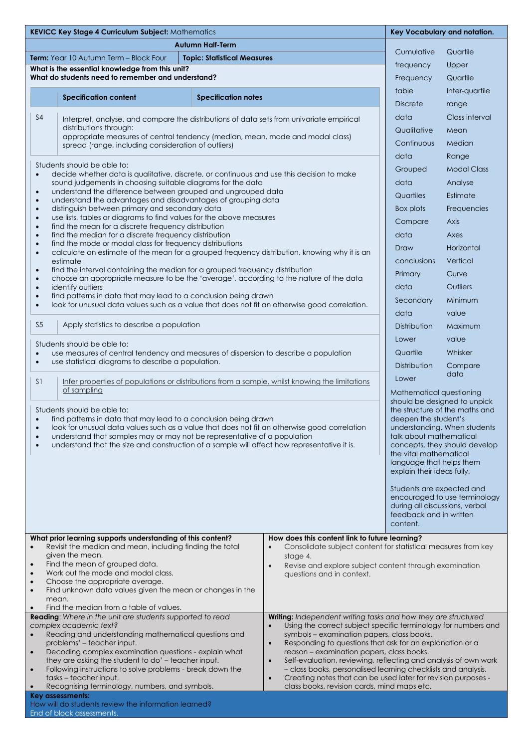| KEVICC Key Stage 4 Curriculum Subject: Mathematics                                                                                                                     |                                                                                                                                                                                                                                                                                                     |                                                                                                                                                                                                                                                                                                                                                                                                         |                            | Key Vocabulary and notation.                                                                                                                                                  |                                                                 |                    |  |
|------------------------------------------------------------------------------------------------------------------------------------------------------------------------|-----------------------------------------------------------------------------------------------------------------------------------------------------------------------------------------------------------------------------------------------------------------------------------------------------|---------------------------------------------------------------------------------------------------------------------------------------------------------------------------------------------------------------------------------------------------------------------------------------------------------------------------------------------------------------------------------------------------------|----------------------------|-------------------------------------------------------------------------------------------------------------------------------------------------------------------------------|-----------------------------------------------------------------|--------------------|--|
| <b>Autumn Half-Term</b>                                                                                                                                                |                                                                                                                                                                                                                                                                                                     |                                                                                                                                                                                                                                                                                                                                                                                                         |                            |                                                                                                                                                                               |                                                                 |                    |  |
| <b>Term:</b> Year 10 Autumn Term - Block Four<br><b>Topic: Statistical Measures</b>                                                                                    |                                                                                                                                                                                                                                                                                                     |                                                                                                                                                                                                                                                                                                                                                                                                         |                            |                                                                                                                                                                               | Cumulative                                                      | Quartile           |  |
| What is the essential knowledge from this unit?                                                                                                                        |                                                                                                                                                                                                                                                                                                     |                                                                                                                                                                                                                                                                                                                                                                                                         |                            |                                                                                                                                                                               | frequency                                                       | Upper              |  |
|                                                                                                                                                                        | What do students need to remember and understand?                                                                                                                                                                                                                                                   |                                                                                                                                                                                                                                                                                                                                                                                                         |                            |                                                                                                                                                                               | Frequency                                                       | Quartile           |  |
|                                                                                                                                                                        |                                                                                                                                                                                                                                                                                                     | <b>Specification content</b>                                                                                                                                                                                                                                                                                                                                                                            | <b>Specification notes</b> |                                                                                                                                                                               | table                                                           | Inter-quartile     |  |
|                                                                                                                                                                        |                                                                                                                                                                                                                                                                                                     |                                                                                                                                                                                                                                                                                                                                                                                                         |                            |                                                                                                                                                                               | <b>Discrete</b>                                                 | range              |  |
|                                                                                                                                                                        | S <sub>4</sub>                                                                                                                                                                                                                                                                                      | Interpret, analyse, and compare the distributions of data sets from univariate empirical                                                                                                                                                                                                                                                                                                                |                            |                                                                                                                                                                               | data                                                            | Class interval     |  |
|                                                                                                                                                                        |                                                                                                                                                                                                                                                                                                     | distributions through:<br>appropriate measures of central tendency (median, mean, mode and modal class)                                                                                                                                                                                                                                                                                                 |                            |                                                                                                                                                                               | Qualitative                                                     | Mean               |  |
|                                                                                                                                                                        | spread (range, including consideration of outliers)                                                                                                                                                                                                                                                 |                                                                                                                                                                                                                                                                                                                                                                                                         |                            |                                                                                                                                                                               | Continuous                                                      | Median             |  |
|                                                                                                                                                                        |                                                                                                                                                                                                                                                                                                     |                                                                                                                                                                                                                                                                                                                                                                                                         |                            |                                                                                                                                                                               | data                                                            | Range              |  |
|                                                                                                                                                                        | Students should be able to:<br>decide whether data is qualitative, discrete, or continuous and use this decision to make<br>$\bullet$                                                                                                                                                               |                                                                                                                                                                                                                                                                                                                                                                                                         |                            |                                                                                                                                                                               | Grouped                                                         | <b>Modal Class</b> |  |
|                                                                                                                                                                        |                                                                                                                                                                                                                                                                                                     | sound judgements in choosing suitable diagrams for the data                                                                                                                                                                                                                                                                                                                                             |                            |                                                                                                                                                                               | data                                                            | Analyse            |  |
|                                                                                                                                                                        | $\bullet$<br>$\bullet$                                                                                                                                                                                                                                                                              | understand the difference between grouped and ungrouped data<br>understand the advantages and disadvantages of grouping data<br>distinguish between primary and secondary data                                                                                                                                                                                                                          |                            |                                                                                                                                                                               |                                                                 | Estimate           |  |
|                                                                                                                                                                        | $\bullet$                                                                                                                                                                                                                                                                                           |                                                                                                                                                                                                                                                                                                                                                                                                         |                            |                                                                                                                                                                               |                                                                 | Frequencies        |  |
|                                                                                                                                                                        | use lists, tables or diagrams to find values for the above measures<br>$\bullet$<br>find the mean for a discrete frequency distribution<br>$\bullet$<br>find the median for a discrete frequency distribution<br>$\bullet$<br>find the mode or modal class for frequency distributions<br>$\bullet$ |                                                                                                                                                                                                                                                                                                                                                                                                         |                            |                                                                                                                                                                               | Compare                                                         | Axis               |  |
|                                                                                                                                                                        |                                                                                                                                                                                                                                                                                                     |                                                                                                                                                                                                                                                                                                                                                                                                         |                            |                                                                                                                                                                               | data                                                            | Axes               |  |
|                                                                                                                                                                        |                                                                                                                                                                                                                                                                                                     |                                                                                                                                                                                                                                                                                                                                                                                                         |                            |                                                                                                                                                                               | Draw                                                            | Horizontal         |  |
|                                                                                                                                                                        | $\bullet$                                                                                                                                                                                                                                                                                           | calculate an estimate of the mean for a grouped frequency distribution, knowing why it is an<br>estimate                                                                                                                                                                                                                                                                                                |                            |                                                                                                                                                                               | conclusions                                                     | Vertical           |  |
| find the interval containing the median for a grouped frequency distribution<br>$\bullet$                                                                              |                                                                                                                                                                                                                                                                                                     |                                                                                                                                                                                                                                                                                                                                                                                                         |                            | Primary                                                                                                                                                                       | Curve                                                           |                    |  |
|                                                                                                                                                                        | choose an appropriate measure to be the 'average', according to the nature of the data<br>$\bullet$<br>identify outliers<br>$\bullet$<br>find patterns in data that may lead to a conclusion being drawn<br>$\bullet$                                                                               |                                                                                                                                                                                                                                                                                                                                                                                                         |                            |                                                                                                                                                                               | data<br>Secondary                                               | Outliers           |  |
|                                                                                                                                                                        |                                                                                                                                                                                                                                                                                                     |                                                                                                                                                                                                                                                                                                                                                                                                         |                            |                                                                                                                                                                               |                                                                 | Minimum            |  |
|                                                                                                                                                                        | look for unusual data values such as a value that does not fit an otherwise good correlation.<br>$\bullet$                                                                                                                                                                                          |                                                                                                                                                                                                                                                                                                                                                                                                         |                            |                                                                                                                                                                               | data                                                            | value              |  |
|                                                                                                                                                                        | S <sub>5</sub><br>Apply statistics to describe a population                                                                                                                                                                                                                                         |                                                                                                                                                                                                                                                                                                                                                                                                         |                            | Distribution<br>Lower                                                                                                                                                         | Maximum                                                         |                    |  |
|                                                                                                                                                                        |                                                                                                                                                                                                                                                                                                     |                                                                                                                                                                                                                                                                                                                                                                                                         |                            |                                                                                                                                                                               | value                                                           |                    |  |
|                                                                                                                                                                        | Students should be able to:<br>use measures of central tendency and measures of dispersion to describe a population<br>$\bullet$<br>use statistical diagrams to describe a population.<br>$\bullet$                                                                                                 |                                                                                                                                                                                                                                                                                                                                                                                                         |                            |                                                                                                                                                                               | Quartile                                                        | Whisker            |  |
|                                                                                                                                                                        |                                                                                                                                                                                                                                                                                                     |                                                                                                                                                                                                                                                                                                                                                                                                         |                            |                                                                                                                                                                               |                                                                 |                    |  |
|                                                                                                                                                                        |                                                                                                                                                                                                                                                                                                     |                                                                                                                                                                                                                                                                                                                                                                                                         |                            | Distribution                                                                                                                                                                  | Compare<br>data                                                 |                    |  |
|                                                                                                                                                                        | S <sub>1</sub>                                                                                                                                                                                                                                                                                      | Infer properties of populations or distributions from a sample, whilst knowing the limitations                                                                                                                                                                                                                                                                                                          |                            |                                                                                                                                                                               | Lower                                                           |                    |  |
|                                                                                                                                                                        | of sampling                                                                                                                                                                                                                                                                                         |                                                                                                                                                                                                                                                                                                                                                                                                         |                            | Mathematical questioning<br>should be designed to unpick<br>the structure of the maths and<br>deepen the student's<br>understanding. When students<br>talk about mathematical |                                                                 |                    |  |
|                                                                                                                                                                        | Students should be able to:                                                                                                                                                                                                                                                                         |                                                                                                                                                                                                                                                                                                                                                                                                         |                            |                                                                                                                                                                               |                                                                 |                    |  |
|                                                                                                                                                                        | find patterns in data that may lead to a conclusion being drawn<br>$\bullet$<br>look for unusual data values such as a value that does not fit an otherwise good correlation<br>understand that samples may or may not be representative of a population<br>$\bullet$                               |                                                                                                                                                                                                                                                                                                                                                                                                         |                            |                                                                                                                                                                               |                                                                 |                    |  |
|                                                                                                                                                                        |                                                                                                                                                                                                                                                                                                     |                                                                                                                                                                                                                                                                                                                                                                                                         |                            |                                                                                                                                                                               |                                                                 |                    |  |
|                                                                                                                                                                        | $\bullet$                                                                                                                                                                                                                                                                                           | understand that the size and construction of a sample will affect how representative it is.                                                                                                                                                                                                                                                                                                             |                            |                                                                                                                                                                               | concepts, they should develop<br>the vital mathematical         |                    |  |
|                                                                                                                                                                        |                                                                                                                                                                                                                                                                                                     |                                                                                                                                                                                                                                                                                                                                                                                                         |                            | language that helps them<br>explain their ideas fully.                                                                                                                        |                                                                 |                    |  |
|                                                                                                                                                                        |                                                                                                                                                                                                                                                                                                     |                                                                                                                                                                                                                                                                                                                                                                                                         |                            |                                                                                                                                                                               |                                                                 |                    |  |
|                                                                                                                                                                        |                                                                                                                                                                                                                                                                                                     |                                                                                                                                                                                                                                                                                                                                                                                                         |                            | Students are expected and                                                                                                                                                     |                                                                 |                    |  |
|                                                                                                                                                                        |                                                                                                                                                                                                                                                                                                     |                                                                                                                                                                                                                                                                                                                                                                                                         |                            | encouraged to use terminology<br>during all discussions, verbal<br>feedback and in written                                                                                    |                                                                 |                    |  |
|                                                                                                                                                                        |                                                                                                                                                                                                                                                                                                     |                                                                                                                                                                                                                                                                                                                                                                                                         |                            |                                                                                                                                                                               |                                                                 |                    |  |
|                                                                                                                                                                        |                                                                                                                                                                                                                                                                                                     |                                                                                                                                                                                                                                                                                                                                                                                                         |                            |                                                                                                                                                                               | content.                                                        |                    |  |
| What prior learning supports understanding of this content?<br>How does this content link to future learning?                                                          |                                                                                                                                                                                                                                                                                                     |                                                                                                                                                                                                                                                                                                                                                                                                         |                            |                                                                                                                                                                               |                                                                 |                    |  |
|                                                                                                                                                                        | Revisit the median and mean, including finding the total<br>given the mean.<br>Find the mean of grouped data.<br>$\bullet$                                                                                                                                                                          |                                                                                                                                                                                                                                                                                                                                                                                                         |                            | Consolidate subject content for statistical measures from key<br>$\bullet$<br>stage 4.<br>Revise and explore subject content through examination<br>$\bullet$                 |                                                                 |                    |  |
|                                                                                                                                                                        |                                                                                                                                                                                                                                                                                                     |                                                                                                                                                                                                                                                                                                                                                                                                         |                            |                                                                                                                                                                               |                                                                 |                    |  |
| Work out the mode and modal class.<br>$\bullet$                                                                                                                        |                                                                                                                                                                                                                                                                                                     |                                                                                                                                                                                                                                                                                                                                                                                                         | questions and in context.  |                                                                                                                                                                               |                                                                 |                    |  |
|                                                                                                                                                                        | Choose the appropriate average.<br>Find unknown data values given the mean or changes in the<br>$\bullet$                                                                                                                                                                                           |                                                                                                                                                                                                                                                                                                                                                                                                         |                            |                                                                                                                                                                               |                                                                 |                    |  |
|                                                                                                                                                                        |                                                                                                                                                                                                                                                                                                     | mean.                                                                                                                                                                                                                                                                                                                                                                                                   |                            |                                                                                                                                                                               |                                                                 |                    |  |
| Find the median from a table of values.<br>Reading: Where in the unit are students supported to read<br>Writing: Independent writing tasks and how they are structured |                                                                                                                                                                                                                                                                                                     |                                                                                                                                                                                                                                                                                                                                                                                                         |                            |                                                                                                                                                                               |                                                                 |                    |  |
|                                                                                                                                                                        |                                                                                                                                                                                                                                                                                                     | complex academic text?                                                                                                                                                                                                                                                                                                                                                                                  |                            | Using the correct subject specific terminology for numbers and                                                                                                                |                                                                 |                    |  |
|                                                                                                                                                                        | $\bullet$                                                                                                                                                                                                                                                                                           | Reading and understanding mathematical questions and<br>symbols - examination papers, class books.<br>problems' – teacher input.<br>$\bullet$                                                                                                                                                                                                                                                           |                            |                                                                                                                                                                               | Responding to questions that ask for an explanation or a        |                    |  |
|                                                                                                                                                                        | $\bullet$                                                                                                                                                                                                                                                                                           | Decoding complex examination questions - explain what<br>reason - examination papers, class books.                                                                                                                                                                                                                                                                                                      |                            |                                                                                                                                                                               |                                                                 |                    |  |
|                                                                                                                                                                        |                                                                                                                                                                                                                                                                                                     | they are asking the student to do' - teacher input.<br>$\bullet$<br>Following instructions to solve problems - break down the<br>- class books, personalised learning checklists and analysis.<br>tasks – teacher input.<br>Creating notes that can be used later for revision purposes -<br>$\bullet$<br>Recognising terminology, numbers, and symbols.<br>class books, revision cards, mind maps etc. |                            |                                                                                                                                                                               | Self-evaluation, reviewing, reflecting and analysis of own work |                    |  |
|                                                                                                                                                                        | $\bullet$                                                                                                                                                                                                                                                                                           |                                                                                                                                                                                                                                                                                                                                                                                                         |                            |                                                                                                                                                                               |                                                                 |                    |  |
|                                                                                                                                                                        | $\bullet$                                                                                                                                                                                                                                                                                           |                                                                                                                                                                                                                                                                                                                                                                                                         |                            |                                                                                                                                                                               |                                                                 |                    |  |
| Key assessments:<br>How will do students review the information learned?                                                                                               |                                                                                                                                                                                                                                                                                                     |                                                                                                                                                                                                                                                                                                                                                                                                         |                            |                                                                                                                                                                               |                                                                 |                    |  |
|                                                                                                                                                                        | End of block assessments.                                                                                                                                                                                                                                                                           |                                                                                                                                                                                                                                                                                                                                                                                                         |                            |                                                                                                                                                                               |                                                                 |                    |  |
|                                                                                                                                                                        |                                                                                                                                                                                                                                                                                                     |                                                                                                                                                                                                                                                                                                                                                                                                         |                            |                                                                                                                                                                               |                                                                 |                    |  |